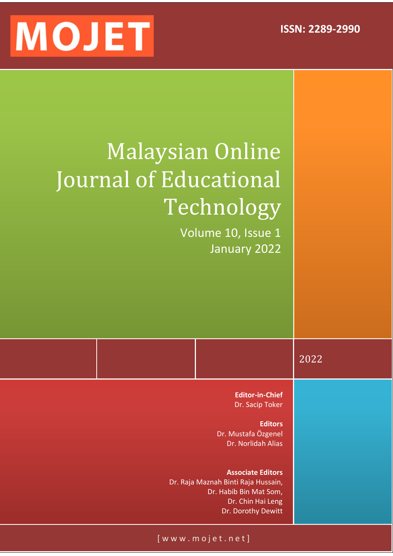

# Malaysian Online Journal of Educational Technology

Volume 10, Issue 1 January 2022

2022

**Editor-in-Chief** Dr. Sacip Toker

**Editors** Dr. Mustafa Özgenel Dr. Norlidah Alias

**Associate Editors** Dr. Raja Maznah Binti Raja Hussain, Dr. Habib Bin Mat Som, Dr. Chin Hai Leng Dr. Dorothy Dewitt

[ w w w . m o j e t . n e t ]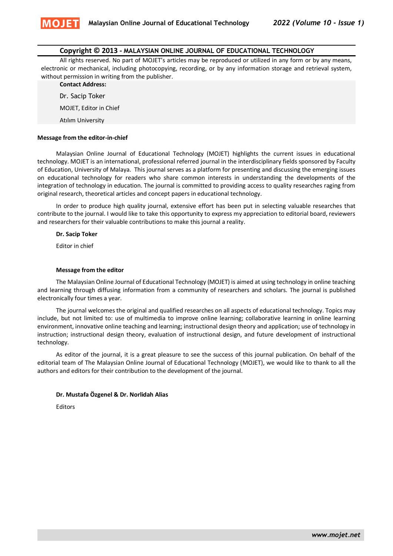

### **Copyright © 2013 - MALAYSIAN ONLINE JOURNAL OF EDUCATIONAL TECHNOLOGY**

All rights reserved. No part of MOJET's articles may be reproduced or utilized in any form or by any means, electronic or mechanical, including photocopying, recording, or by any information storage and retrieval system, without permission in writing from the publisher.

## **Contact Address:**

Dr. Sacip Toker

MOJET, Editor in Chief

Atılım University

#### **Message from the editor-in-chief**

Malaysian Online Journal of Educational Technology (MOJET) highlights the current issues in educational technology. MOJET is an international, professional referred journal in the interdisciplinary fields sponsored by Faculty of Education, University of Malaya. This journal serves as a platform for presenting and discussing the emerging issues on educational technology for readers who share common interests in understanding the developments of the integration of technology in education. The journal is committed to providing access to quality researches raging from original research, theoretical articles and concept papers in educational technology.

In order to produce high quality journal, extensive effort has been put in selecting valuable researches that contribute to the journal. I would like to take this opportunity to express my appreciation to editorial board, reviewers and researchers for their valuable contributions to make this journal a reality.

### **Dr. Sacip Toker**

Editor in chief

#### **Message from the editor**

The Malaysian Online Journal of Educational Technology (MOJET) is aimed at using technology in online teaching and learning through diffusing information from a community of researchers and scholars. The journal is published electronically four times a year.

The journal welcomes the original and qualified researches on all aspects of educational technology. Topics may include, but not limited to: use of multimedia to improve online learning; collaborative learning in online learning environment, innovative online teaching and learning; instructional design theory and application; use of technology in instruction; instructional design theory, evaluation of instructional design, and future development of instructional technology.

As editor of the journal, it is a great pleasure to see the success of this journal publication. On behalf of the editorial team of The Malaysian Online Journal of Educational Technology (MOJET), we would like to thank to all the authors and editors for their contribution to the development of the journal.

#### **Dr. Mustafa Özgenel & Dr. Norlidah Alias**

Editors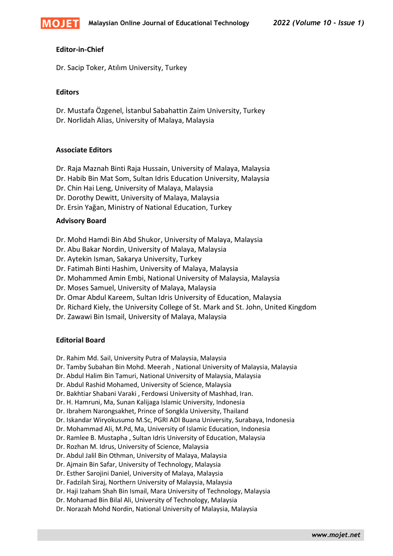

# **Editor-in-Chief**

Dr. Sacip Toker, Atılım University, Turkey

## **Editors**

Dr. Mustafa Özgenel, İstanbul Sabahattin Zaim University, Turkey

Dr. Norlidah Alias, University of Malaya, Malaysia

# **Associate Editors**

- Dr. Raja Maznah Binti Raja Hussain, University of Malaya, Malaysia
- Dr. Habib Bin Mat Som, Sultan Idris Education University, Malaysia
- Dr. Chin Hai Leng, University of Malaya, Malaysia
- Dr. Dorothy Dewitt, University of Malaya, Malaysia
- Dr. Ersin Yağan, Ministry of National Education, Turkey

# **Advisory Board**

- Dr. Mohd Hamdi Bin Abd Shukor, University of Malaya, Malaysia
- Dr. Abu Bakar Nordin, University of Malaya, Malaysia
- Dr. Aytekin Isman, Sakarya University, Turkey
- Dr. Fatimah Binti Hashim, University of Malaya, Malaysia
- Dr. Mohammed Amin Embi, National University of Malaysia, Malaysia
- Dr. Moses Samuel, University of Malaya, Malaysia
- Dr. Omar Abdul Kareem, Sultan Idris University of Education, Malaysia
- Dr. Richard Kiely, the University College of St. Mark and St. John, United Kingdom
- Dr. Zawawi Bin Ismail, University of Malaya, Malaysia

# **Editorial Board**

- Dr. Rahim Md. Sail, University Putra of Malaysia, Malaysia
- Dr. Tamby Subahan Bin Mohd. Meerah , National University of Malaysia, Malaysia
- Dr. Abdul Halim Bin Tamuri, National University of Malaysia, Malaysia
- Dr. Abdul Rashid Mohamed, University of Science, Malaysia
- Dr. Bakhtiar Shabani Varaki , Ferdowsi University of Mashhad, Iran.
- Dr. H. Hamruni, Ma, Sunan Kalijaga Islamic University, Indonesia
- Dr. Ibrahem Narongsakhet, Prince of Songkla University, Thailand
- Dr. Iskandar Wiryokusumo M.Sc, PGRI ADI Buana University, Surabaya, Indonesia
- Dr. Mohammad Ali, M.Pd, Ma, University of Islamic Education, Indonesia
- Dr. Ramlee B. Mustapha , Sultan Idris University of Education, Malaysia
- Dr. Rozhan M. Idrus, University of Science, Malaysia
- Dr. Abdul Jalil Bin Othman, University of Malaya, Malaysia
- Dr. Ajmain Bin Safar, University of Technology, Malaysia
- Dr. Esther Sarojini Daniel, University of Malaya, Malaysia
- Dr. Fadzilah Siraj, Northern University of Malaysia, Malaysia
- Dr. Haji Izaham Shah Bin Ismail, Mara University of Technology, Malaysia
- Dr. Mohamad Bin Bilal Ali, University of Technology, Malaysia
- Dr. Norazah Mohd Nordin, National University of Malaysia, Malaysia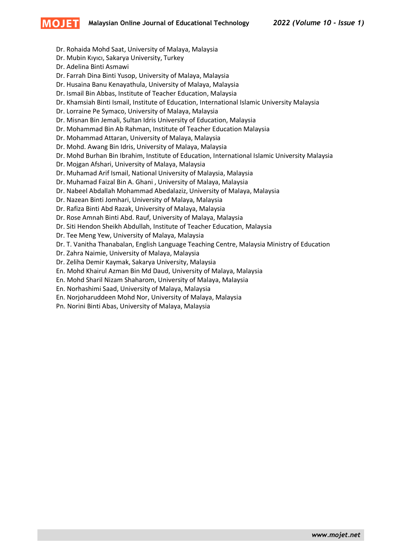- Dr. Rohaida Mohd Saat, University of Malaya, Malaysia
- Dr. Mubin Kıyıcı, Sakarya University, Turkey
- Dr. Adelina Binti Asmawi

**MOJE** 

- Dr. Farrah Dina Binti Yusop, University of Malaya, Malaysia
- Dr. Husaina Banu Kenayathula, University of Malaya, Malaysia
- Dr. Ismail Bin Abbas, Institute of Teacher Education, Malaysia
- Dr. Khamsiah Binti Ismail, Institute of Education, International Islamic University Malaysia
- Dr. Lorraine Pe Symaco, University of Malaya, Malaysia
- Dr. Misnan Bin Jemali, Sultan Idris University of Education, Malaysia
- Dr. Mohammad Bin Ab Rahman, Institute of Teacher Education Malaysia
- Dr. Mohammad Attaran, University of Malaya, Malaysia
- Dr. Mohd. Awang Bin Idris, University of Malaya, Malaysia
- Dr. Mohd Burhan Bin Ibrahim, Institute of Education, International Islamic University Malaysia
- Dr. Mojgan Afshari, University of Malaya, Malaysia
- Dr. Muhamad Arif Ismail, National University of Malaysia, Malaysia
- Dr. Muhamad Faizal Bin A. Ghani , University of Malaya, Malaysia
- Dr. Nabeel Abdallah Mohammad Abedalaziz, University of Malaya, Malaysia
- Dr. Nazean Binti Jomhari, University of Malaya, Malaysia
- Dr. Rafiza Binti Abd Razak, University of Malaya, Malaysia
- Dr. Rose Amnah Binti Abd. Rauf, University of Malaya, Malaysia
- Dr. Siti Hendon Sheikh Abdullah, Institute of Teacher Education, Malaysia
- Dr. Tee Meng Yew, University of Malaya, Malaysia
- Dr. T. Vanitha Thanabalan, English Language Teaching Centre, Malaysia Ministry of Education
- Dr. Zahra Naimie, University of Malaya, Malaysia
- Dr. Zeliha Demir Kaymak, Sakarya University, Malaysia
- En. Mohd Khairul Azman Bin Md Daud, University of Malaya, Malaysia
- En. Mohd Sharil Nizam Shaharom, University of Malaya, Malaysia
- En. Norhashimi Saad, University of Malaya, Malaysia
- En. Norjoharuddeen Mohd Nor, University of Malaya, Malaysia
- Pn. Norini Binti Abas, University of Malaya, Malaysia